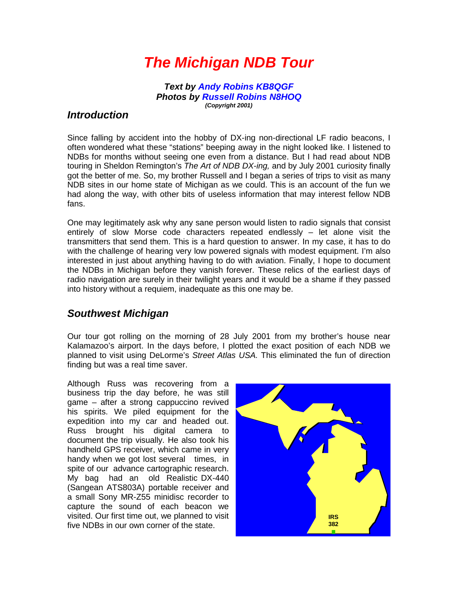# *The Michigan NDB Tour*

*Text by Andy Robins KB8QGF Photos by Russell Robins N8HOQ (Copyright 2001)*

#### *Introduction*

Since falling by accident into the hobby of DX-ing non-directional LF radio beacons, I often wondered what these "stations" beeping away in the night looked like. I listened to NDBs for months without seeing one even from a distance. But I had read about NDB touring in Sheldon Remington's *The Art of NDB DX-ing,* and by July 2001 curiosity finally got the better of me. So, my brother Russell and I began a series of trips to visit as many NDB sites in our home state of Michigan as we could. This is an account of the fun we had along the way, with other bits of useless information that may interest fellow NDB fans.

One may legitimately ask why any sane person would listen to radio signals that consist entirely of slow Morse code characters repeated endlessly – let alone visit the transmitters that send them. This is a hard question to answer. In my case, it has to do with the challenge of hearing very low powered signals with modest equipment. I'm also interested in just about anything having to do with aviation. Finally, I hope to document the NDBs in Michigan before they vanish forever. These relics of the earliest days of radio navigation are surely in their twilight years and it would be a shame if they passed into history without a requiem, inadequate as this one may be.

### *Southwest Michigan*

Our tour got rolling on the morning of 28 July 2001 from my brother's house near Kalamazoo's airport. In the days before, I plotted the exact position of each NDB we planned to visit using DeLorme's *Street Atlas USA.* This eliminated the fun of direction finding but was a real time saver.

Although Russ was recovering from a business trip the day before, he was still game – after a strong cappuccino revived his spirits. We piled equipment for the expedition into my car and headed out. Russ brought his digital camera to document the trip visually. He also took his handheld GPS receiver, which came in very handy when we got lost several times, in spite of our advance cartographic research. My bag had an old Realistic DX-440 (Sangean ATS803A) portable receiver and a small Sony MR-Z55 minidisc recorder to capture the sound of each beacon we visited. Our first time out, we planned to visit five NDBs in our own corner of the state.

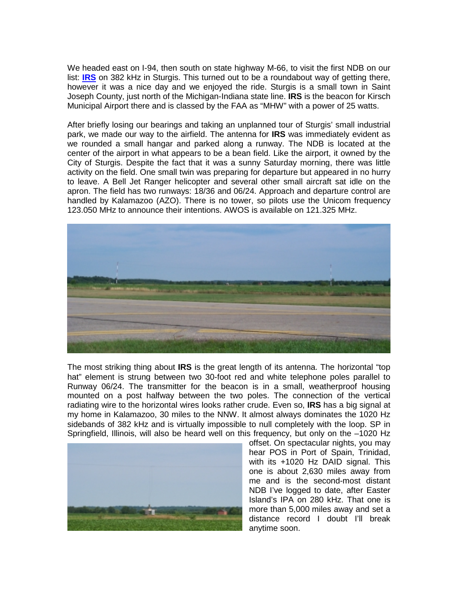We headed east on I-94, then south on state highway M-66, to visit the first NDB on our list: **[IRS](http://www.alan.gale.clara.co.uk/ARarticle/IRS.mp3)** on 382 kHz in Sturgis. This turned out to be a roundabout way of getting there, however it was a nice day and we enjoyed the ride. Sturgis is a small town in Saint Joseph County, just north of the Michigan-Indiana state line. **IRS** is the beacon for Kirsch Municipal Airport there and is classed by the FAA as "MHW" with a power of 25 watts.

After briefly losing our bearings and taking an unplanned tour of Sturgis' small industrial park, we made our way to the airfield. The antenna for **IRS** was immediately evident as we rounded a small hangar and parked along a runway. The NDB is located at the center of the airport in what appears to be a bean field. Like the airport, it owned by the City of Sturgis. Despite the fact that it was a sunny Saturday morning, there was little activity on the field. One small twin was preparing for departure but appeared in no hurry to leave. A Bell Jet Ranger helicopter and several other small aircraft sat idle on the apron. The field has two runways: 18/36 and 06/24. Approach and departure control are handled by Kalamazoo (AZO). There is no tower, so pilots use the Unicom frequency 123.050 MHz to announce their intentions. AWOS is available on 121.325 MHz.



The most striking thing about **IRS** is the great length of its antenna. The horizontal "top hat" element is strung between two 30-foot red and white telephone poles parallel to Runway 06/24. The transmitter for the beacon is in a small, weatherproof housing mounted on a post halfway between the two poles. The connection of the vertical radiating wire to the horizontal wires looks rather crude. Even so, **IRS** has a big signal at my home in Kalamazoo, 30 miles to the NNW. It almost always dominates the 1020 Hz sidebands of 382 kHz and is virtually impossible to null completely with the loop. SP in Springfield, Illinois, will also be heard well on this frequency, but only on the –1020 Hz



offset. On spectacular nights, you may hear POS in Port of Spain, Trinidad, with its +1020 Hz DAID signal. This one is about 2,630 miles away from me and is the second-most distant NDB I've logged to date, after Easter Island's IPA on 280 kHz. That one is more than 5,000 miles away and set a distance record I doubt I'll break anytime soon.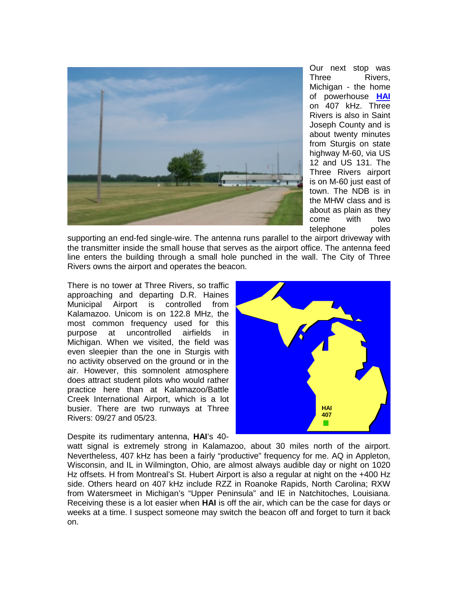

Our next stop was Three Rivers, Michigan - the home of powerhouse **[HA](http://www.alan.gale.clara.co.uk/ARarticle/HAI.mp3)I** on 407 kHz. Three Rivers is also in Saint Joseph County and is about twenty minutes from Sturgis on state highway M-60, via US 12 and US 131. The Three Rivers airport is on M-60 just east of town. The NDB is in the MHW class and is about as plain as they come with two telephone poles

supporting an end-fed single-wire. The antenna runs parallel to the airport driveway with the transmitter inside the small house that serves as the airport office. The antenna feed line enters the building through a small hole punched in the wall. The City of Three Rivers owns the airport and operates the beacon.

There is no tower at Three Rivers, so traffic approaching and departing D.R. Haines Municipal Airport is controlled from Kalamazoo. Unicom is on 122.8 MHz, the most common frequency used for this purpose at uncontrolled airfields in Michigan. When we visited, the field was even sleepier than the one in Sturgis with no activity observed on the ground or in the air. However, this somnolent atmosphere does attract student pilots who would rather practice here than at Kalamazoo/Battle Creek International Airport, which is a lot busier. There are two runways at Three Rivers: 09/27 and 05/23.

Despite its rudimentary antenna, **HAI**'s 40-



watt signal is extremely strong in Kalamazoo, about 30 miles north of the airport. Nevertheless, 407 kHz has been a fairly "productive" frequency for me. AQ in Appleton, Wisconsin, and IL in Wilmington, Ohio, are almost always audible day or night on 1020 Hz offsets. H from Montreal's St. Hubert Airport is also a regular at night on the +400 Hz side. Others heard on 407 kHz include RZZ in Roanoke Rapids, North Carolina; RXW from Watersmeet in Michigan's "Upper Peninsula" and IE in Natchitoches, Louisiana. Receiving these is a lot easier when **HAI** is off the air, which can be the case for days or weeks at a time. I suspect someone may switch the beacon off and forget to turn it back on.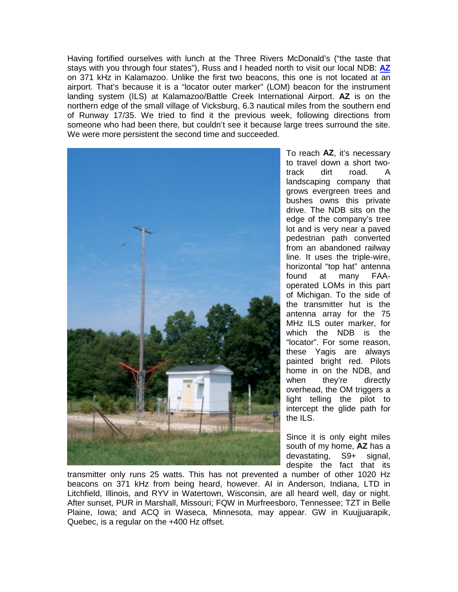Having fortified ourselves with lunch at the Three Rivers McDonald's ("the taste that stays with you through four states"), Russ and I headed north to visit our local NDB: **[AZ](http://www./alan.gale.clara.co.uk/ARarticle/AZ.mp3)** on 371 kHz in Kalamazoo. Unlike the first two beacons, this one is not located at an airport. That's because it is a "locator outer marker" (LOM) beacon for the instrument landing system (ILS) at Kalamazoo/Battle Creek International Airport. **AZ** is on the northern edge of the small village of Vicksburg, 6.3 nautical miles from the southern end of Runway 17/35. We tried to find it the previous week, following directions from someone who had been there, but couldn't see it because large trees surround the site. We were more persistent the second time and succeeded.



To reach **AZ**, it's necessary to travel down a short twotrack dirt road. A landscaping company that grows evergreen trees and bushes owns this private drive. The NDB sits on the edge of the company's tree lot and is very near a paved pedestrian path converted from an abandoned railway line. It uses the triple-wire, horizontal "top hat" antenna found at many FAAoperated LOMs in this part of Michigan. To the side of the transmitter hut is the antenna array for the 75 MHz ILS outer marker, for which the NDB is the "locator". For some reason, these Yagis are always painted bright red. Pilots home in on the NDB, and when they're directly overhead, the OM triggers a light telling the pilot to intercept the glide path for the ILS.

Since it is only eight miles south of my home, **AZ** has a devastating, S9+ signal, despite the fact that its

transmitter only runs 25 watts. This has not prevented a number of other 1020 Hz beacons on 371 kHz from being heard, however. AI in Anderson, Indiana, LTD in Litchfield, Illinois, and RYV in Watertown, Wisconsin, are all heard well, day or night. After sunset, PUR in Marshall, Missouri; FQW in Murfreesboro, Tennessee; TZT in Belle Plaine, Iowa; and ACQ in Waseca, Minnesota, may appear. GW in Kuujjuarapik, Quebec, is a regular on the +400 Hz offset.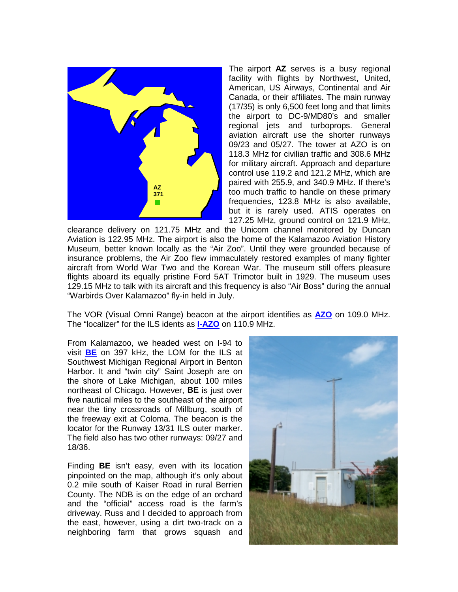

The airport **AZ** serves is a busy regional facility with flights by Northwest, United, American, US Airways, Continental and Air Canada, or their affiliates. The main runway (17/35) is only 6,500 feet long and that limits the airport to DC-9/MD80's and smaller regional jets and turboprops. General aviation aircraft use the shorter runways 09/23 and 05/27. The tower at AZO is on 118.3 MHz for civilian traffic and 308.6 MHz for military aircraft. Approach and departure control use 119.2 and 121.2 MHz, which are paired with 255.9, and 340.9 MHz. If there's too much traffic to handle on these primary frequencies, 123.8 MHz is also available, but it is rarely used. ATIS operates on 127.25 MHz, ground control on 121.9 MHz,

clearance delivery on 121.75 MHz and the Unicom channel monitored by Duncan Aviation is 122.95 MHz. The airport is also the home of the Kalamazoo Aviation History Museum, better known locally as the "Air Zoo". Until they were grounded because of insurance problems, the Air Zoo flew immaculately restored examples of many fighter aircraft from World War Two and the Korean War. The museum still offers pleasure flights aboard its equally pristine Ford 5AT Trimotor built in 1929. The museum uses 129.15 MHz to talk with its aircraft and this frequency is also "Air Boss" during the annual "Warbirds Over Kalamazoo" fly-in held in July.

The VOR (Visual Omni Range) beacon at the airport identifies as **[AZO](http://www.alan.gale.clara.co.uk/ARarticle/AZO.mp3)** on 109.0 MHz. The "localizer" for the ILS idents as **[I-AZO](http://www.alan.gale.clara.co.uk/ARarticle/IAZO.mp3)** on 110.9 MHz.

From Kalamazoo, we headed west on I-94 to visit **[BE](http://www.alan.gale.clara.co.uk/ARarticle/BE.mp3)** on 397 kHz, the LOM for the ILS at Southwest Michigan Regional Airport in Benton Harbor. It and "twin city" Saint Joseph are on the shore of Lake Michigan, about 100 miles northeast of Chicago. However, **BE** is just over five nautical miles to the southeast of the airport near the tiny crossroads of Millburg, south of the freeway exit at Coloma. The beacon is the locator for the Runway 13/31 ILS outer marker. The field also has two other runways: 09/27 and 18/36.

Finding **BE** isn't easy, even with its location pinpointed on the map, although it's only about 0.2 mile south of Kaiser Road in rural Berrien County. The NDB is on the edge of an orchard and the "official" access road is the farm's driveway. Russ and I decided to approach from the east, however, using a dirt two-track on a neighboring farm that grows squash and

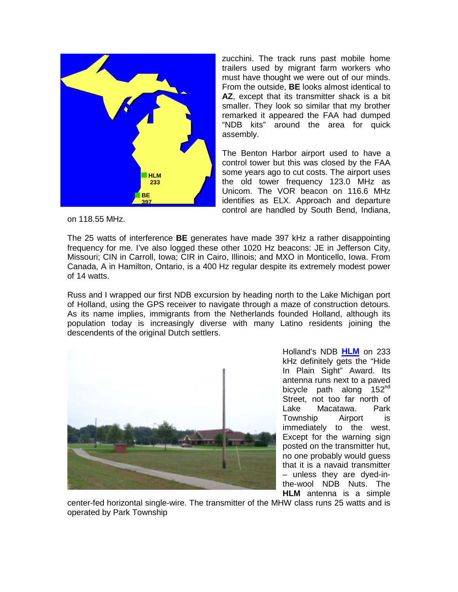

zucchini. The track runs past mobile home trailers used by migrant farm workers who must have thought we were out of our minds. From the outside, **BE** looks almost identical to **AZ**, except that its transmitter shack is a bit smaller. They look so similar that my brother remarked it appeared the FAA had dumped "NDB kits" around the area for quick assembly.

The Benton Harbor airport used to have a control tower but this was closed by the FAA some years ago to cut costs. The airport uses the old tower frequency 123.0 MHz as Unicom. The VOR beacon on 116.6 MHz identifies as ELX. Approach and departure control are handled by South Bend, Indiana,

on 118.55 MHz.

The 25 watts of interference **BE** generates have made 397 kHz a rather disappointing frequency for me. I've also logged these other 1020 Hz beacons: JE in Jefferson City, Missouri; CIN in Carroll, Iowa; CIR in Cairo, Illinois; and MXO in Monticello, Iowa. From Canada, A in Hamilton, Ontario, is a 400 Hz regular despite its extremely modest power of 14 watts.

Russ and I wrapped our first NDB excursion by heading north to the Lake Michigan port of Holland, using the GPS receiver to navigate through a maze of construction detours. As its name implies, immigrants from the Netherlands founded Holland, although its population today is increasingly diverse with many Latino residents joining the descendents of the original Dutch settlers.



Holland's NDB **[HLM](http://www.alan.gale.clara.co.uk/ARarticle/HLM.mp3)** on 233 kHz definitely gets the "Hide In Plain Sight" Award. Its antenna runs next to a paved bicycle path along 152<sup>nd</sup> Street, not too far north of Lake Macatawa. Park Township Airport is immediately to the west. Except for the warning sign posted on the transmitter hut, no one probably would guess that it is a navaid transmitter – unless they are dyed-inthe-wool NDB Nuts. The **HLM** antenna is a simple

center-fed horizontal single-wire. The transmitter of the MHW class runs 25 watts and is operated by Park Township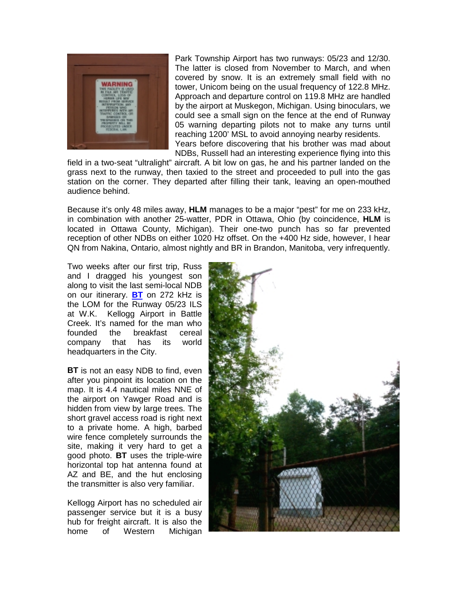

Park Township Airport has two runways: 05/23 and 12/30. The latter is closed from November to March, and when covered by snow. It is an extremely small field with no tower, Unicom being on the usual frequency of 122.8 MHz. Approach and departure control on 119.8 MHz are handled by the airport at Muskegon, Michigan. Using binoculars, we could see a small sign on the fence at the end of Runway 05 warning departing pilots not to make any turns until reaching 1200' MSL to avoid annoying nearby residents. Years before discovering that his brother was mad about NDBs, Russell had an interesting experience flying into this

field in a two-seat "ultralight" aircraft. A bit low on gas, he and his partner landed on the grass next to the runway, then taxied to the street and proceeded to pull into the gas station on the corner. They departed after filling their tank, leaving an open-mouthed audience behind.

Because it's only 48 miles away, **HLM** manages to be a major "pest" for me on 233 kHz, in combination with another 25-watter, PDR in Ottawa, Ohio (by coincidence, **HLM** is located in Ottawa County, Michigan). Their one-two punch has so far prevented reception of other NDBs on either 1020 Hz offset. On the +400 Hz side, however, I hear QN from Nakina, Ontario, almost nightly and BR in Brandon, Manitoba, very infrequently.

Two weeks after our first trip, Russ and I dragged his youngest son along to visit the last semi-local NDB on our itinerary. **[BT](http://www.alan.gale.clara.co.uk/ARarticle/BT.mp3)** on 272 kHz is the LOM for the Runway 05/23 ILS at W.K. Kellogg Airport in Battle Creek. It's named for the man who founded the breakfast cereal company that has its world headquarters in the City.

**BT** is not an easy NDB to find, even after you pinpoint its location on the map. It is 4.4 nautical miles NNE of the airport on Yawger Road and is hidden from view by large trees. The short gravel access road is right next to a private home. A high, barbed wire fence completely surrounds the site, making it very hard to get a good photo. **BT** uses the triple-wire horizontal top hat antenna found at AZ and BE, and the hut enclosing the transmitter is also very familiar.

Kellogg Airport has no scheduled air passenger service but it is a busy hub for freight aircraft. It is also the home of Western Michigan

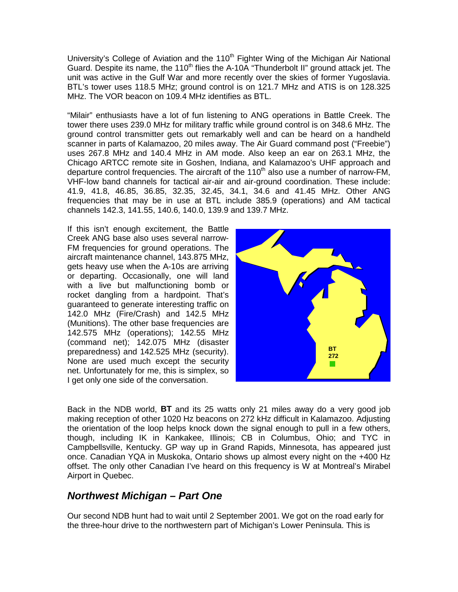University's College of Aviation and the 110<sup>th</sup> Fighter Wing of the Michigan Air National Guard. Despite its name, the 110<sup>th</sup> flies the A-10A "Thunderbolt II" ground attack jet. The unit was active in the Gulf War and more recently over the skies of former Yugoslavia. BTL's tower uses 118.5 MHz; ground control is on 121.7 MHz and ATIS is on 128.325 MHz. The VOR beacon on 109.4 MHz identifies as BTL.

"Milair" enthusiasts have a lot of fun listening to ANG operations in Battle Creek. The tower there uses 239.0 MHz for military traffic while ground control is on 348.6 MHz. The ground control transmitter gets out remarkably well and can be heard on a handheld scanner in parts of Kalamazoo, 20 miles away. The Air Guard command post ("Freebie") uses 267.8 MHz and 140.4 MHz in AM mode. Also keep an ear on 263.1 MHz, the Chicago ARTCC remote site in Goshen, Indiana, and Kalamazoo's UHF approach and departure control frequencies. The aircraft of the  $110<sup>th</sup>$  also use a number of narrow-FM, VHF-low band channels for tactical air-air and air-ground coordination. These include: 41.9, 41.8, 46.85, 36.85, 32.35, 32.45, 34.1, 34.6 and 41.45 MHz. Other ANG frequencies that may be in use at BTL include 385.9 (operations) and AM tactical channels 142.3, 141.55, 140.6, 140.0, 139.9 and 139.7 MHz.

If this isn't enough excitement, the Battle Creek ANG base also uses several narrow-FM frequencies for ground operations. The aircraft maintenance channel, 143.875 MHz, gets heavy use when the A-10s are arriving or departing. Occasionally, one will land with a live but malfunctioning bomb or rocket dangling from a hardpoint. That's guaranteed to generate interesting traffic on 142.0 MHz (Fire/Crash) and 142.5 MHz (Munitions). The other base frequencies are 142.575 MHz (operations); 142.55 MHz (command net); 142.075 MHz (disaster preparedness) and 142.525 MHz (security). None are used much except the security net. Unfortunately for me, this is simplex, so I get only one side of the conversation.



Back in the NDB world, **BT** and its 25 watts only 21 miles away do a very good job making reception of other 1020 Hz beacons on 272 kHz difficult in Kalamazoo. Adjusting the orientation of the loop helps knock down the signal enough to pull in a few others, though, including IK in Kankakee, Illinois; CB in Columbus, Ohio; and TYC in Campbellsville, Kentucky. GP way up in Grand Rapids, Minnesota, has appeared just once. Canadian YQA in Muskoka, Ontario shows up almost every night on the +400 Hz offset. The only other Canadian I've heard on this frequency is W at Montreal's Mirabel Airport in Quebec.

### *Northwest Michigan – Part One*

Our second NDB hunt had to wait until 2 September 2001. We got on the road early for the three-hour drive to the northwestern part of Michigan's Lower Peninsula. This is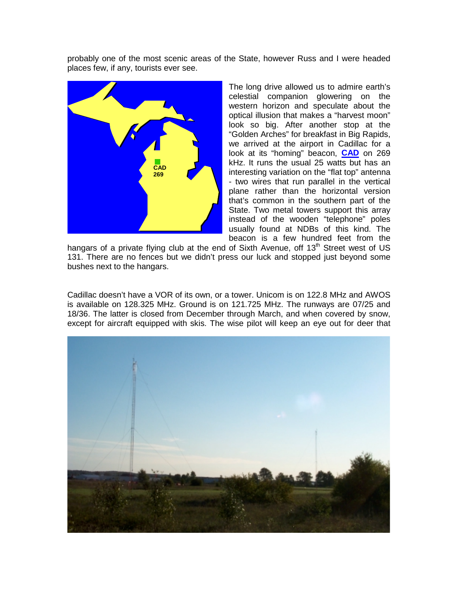probably one of the most scenic areas of the State, however Russ and I were headed places few, if any, tourists ever see.



The long drive allowed us to admire earth's celestial companion glowering on the western horizon and speculate about the optical illusion that makes a "harvest moon" look so big. After another stop at the "Golden Arches" for breakfast in Big Rapids, we arrived at the airport in Cadillac for a look at its "homing" beacon, **[CAD](http://www.alan.gale.clara.co.uk/ARarticle/CAD.mp3)** on 269 kHz. It runs the usual 25 watts but has an interesting variation on the "flat top" antenna - two wires that run parallel in the vertical plane rather than the horizontal version that's common in the southern part of the State. Two metal towers support this array instead of the wooden "telephone" poles usually found at NDBs of this kind. The beacon is a few hundred feet from the

hangars of a private flying club at the end of Sixth Avenue, off  $13<sup>th</sup>$  Street west of US 131. There are no fences but we didn't press our luck and stopped just beyond some bushes next to the hangars.

Cadillac doesn't have a VOR of its own, or a tower. Unicom is on 122.8 MHz and AWOS is available on 128.325 MHz. Ground is on 121.725 MHz. The runways are 07/25 and 18/36. The latter is closed from December through March, and when covered by snow, except for aircraft equipped with skis. The wise pilot will keep an eye out for deer that

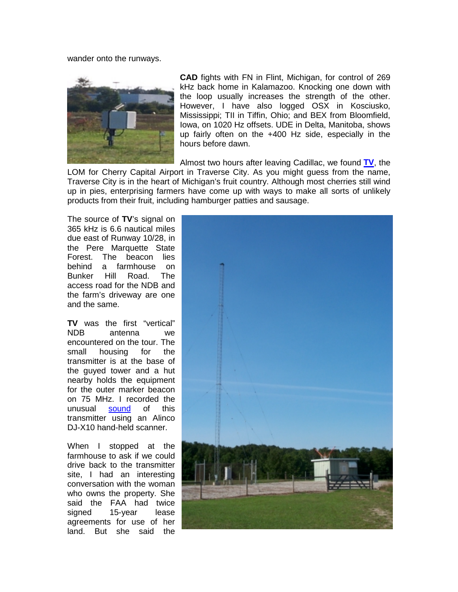wander onto the runways.



**CAD** fights with FN in Flint, Michigan, for control of 269 kHz back home in Kalamazoo. Knocking one down with the loop usually increases the strength of the other. However, I have also logged OSX in Kosciusko, Mississippi; TII in Tiffin, Ohio; and BEX from Bloomfield, Iowa, on 1020 Hz offsets. UDE in Delta, Manitoba, shows up fairly often on the +400 Hz side, especially in the hours before dawn.

Almost two hours after leaving Cadillac, we found **[TV](http://www.alan.gale.clara.co.uk/ARarticle/TV.mp3)**, the

LOM for Cherry Capital Airport in Traverse City. As you might guess from the name, Traverse City is in the heart of Michigan's fruit country. Although most cherries still wind up in pies, enterprising farmers have come up with ways to make all sorts of unlikely products from their fruit, including hamburger patties and sausage.

The source of **TV**'s signal on 365 kHz is 6.6 nautical miles due east of Runway 10/28, in the Pere Marquette State Forest. The beacon lies behind a farmhouse on Bunker Hill Road. The access road for the NDB and the farm's driveway are one and the same.

**TV** was the first "vertical" NDB antenna we encountered on the tour. The small housing for the transmitter is at the base of the guyed tower and a hut nearby holds the equipment for the outer marker beacon on 75 MHz. I recorded the unusual [soun](http://www.alan.gale.clara.co.uk/ARarticle/TV-OM.mp3)d of this transmitter using an Alinco DJ-X10 hand-held scanner.

When I stopped at the farmhouse to ask if we could drive back to the transmitter site, I had an interesting conversation with the woman who owns the property. She said the FAA had twice signed 15-year lease agreements for use of her land. But she said the

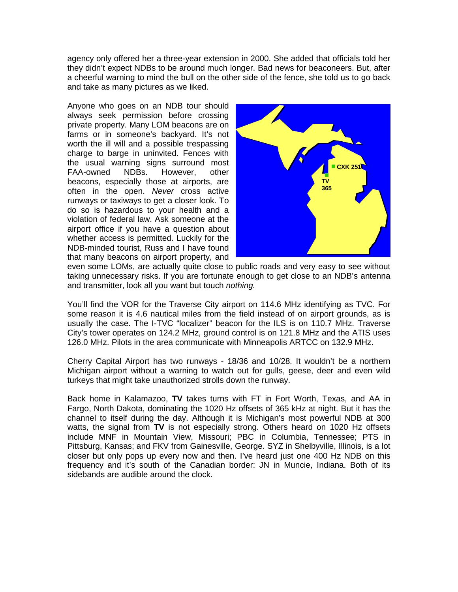agency only offered her a three-year extension in 2000. She added that officials told her they didn't expect NDBs to be around much longer. Bad news for beaconeers. But, after a cheerful warning to mind the bull on the other side of the fence, she told us to go back and take as many pictures as we liked.

Anyone who goes on an NDB tour should always seek permission before crossing private property. Many LOM beacons are on farms or in someone's backyard. It's not worth the ill will and a possible trespassing charge to barge in uninvited. Fences with the usual warning signs surround most FAA-owned NDBs. However, other beacons, especially those at airports, are often in the open. *Never* cross active runways or taxiways to get a closer look. To do so is hazardous to your health and a violation of federal law. Ask someone at the airport office if you have a question about whether access is permitted. Luckily for the NDB-minded tourist, Russ and I have found that many beacons on airport property, and



even some LOMs, are actually quite close to public roads and very easy to see without taking unnecessary risks. If you are fortunate enough to get close to an NDB's antenna and transmitter, look all you want but touch *nothing.*

You'll find the VOR for the Traverse City airport on 114.6 MHz identifying as TVC. For some reason it is 4.6 nautical miles from the field instead of on airport grounds, as is usually the case. The I-TVC "localizer" beacon for the ILS is on 110.7 MHz. Traverse City's tower operates on 124.2 MHz, ground control is on 121.8 MHz and the ATIS uses 126.0 MHz. Pilots in the area communicate with Minneapolis ARTCC on 132.9 MHz.

Cherry Capital Airport has two runways - 18/36 and 10/28. It wouldn't be a northern Michigan airport without a warning to watch out for gulls, geese, deer and even wild turkeys that might take unauthorized strolls down the runway.

Back home in Kalamazoo, **TV** takes turns with FT in Fort Worth, Texas, and AA in Fargo, North Dakota, dominating the 1020 Hz offsets of 365 kHz at night. But it has the channel to itself during the day. Although it is Michigan's most powerful NDB at 300 watts, the signal from **TV** is not especially strong. Others heard on 1020 Hz offsets include MNF in Mountain View, Missouri; PBC in Columbia, Tennessee; PTS in Pittsburg, Kansas; and FKV from Gainesville, George. SYZ in Shelbyville, Illinois, is a lot closer but only pops up every now and then. I've heard just one 400 Hz NDB on this frequency and it's south of the Canadian border: JN in Muncie, Indiana. Both of its sidebands are audible around the clock.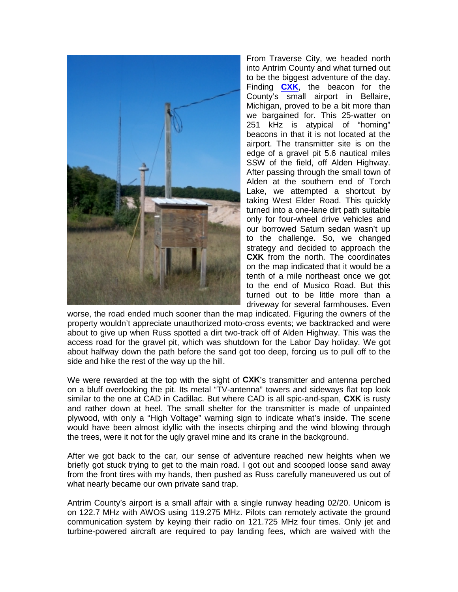

From Traverse City, we headed north into Antrim County and what turned out to be the biggest adventure of the day. Finding **[CXK](http://www.alan.gale.clara.co.uk/ARarticle/CXK.mp3)**, the beacon for the County's small airport in Bellaire, Michigan, proved to be a bit more than we bargained for. This 25-watter on 251 kHz is atypical of "homing" beacons in that it is not located at the airport. The transmitter site is on the edge of a gravel pit 5.6 nautical miles SSW of the field, off Alden Highway. After passing through the small town of Alden at the southern end of Torch Lake, we attempted a shortcut by taking West Elder Road. This quickly turned into a one-lane dirt path suitable only for four-wheel drive vehicles and our borrowed Saturn sedan wasn't up to the challenge. So, we changed strategy and decided to approach the **CXK** from the north. The coordinates on the map indicated that it would be a tenth of a mile northeast once we got to the end of Musico Road. But this turned out to be little more than a driveway for several farmhouses. Even

worse, the road ended much sooner than the map indicated. Figuring the owners of the property wouldn't appreciate unauthorized moto-cross events; we backtracked and were about to give up when Russ spotted a dirt two-track off of Alden Highway. This was the access road for the gravel pit, which was shutdown for the Labor Day holiday. We got about halfway down the path before the sand got too deep, forcing us to pull off to the side and hike the rest of the way up the hill.

We were rewarded at the top with the sight of **CXK**'s transmitter and antenna perched on a bluff overlooking the pit. Its metal "TV-antenna" towers and sideways flat top look similar to the one at CAD in Cadillac. But where CAD is all spic-and-span, **CXK** is rusty and rather down at heel. The small shelter for the transmitter is made of unpainted plywood, with only a "High Voltage" warning sign to indicate what's inside. The scene would have been almost idyllic with the insects chirping and the wind blowing through the trees, were it not for the ugly gravel mine and its crane in the background.

After we got back to the car, our sense of adventure reached new heights when we briefly got stuck trying to get to the main road. I got out and scooped loose sand away from the front tires with my hands, then pushed as Russ carefully maneuvered us out of what nearly became our own private sand trap.

Antrim County's airport is a small affair with a single runway heading 02/20. Unicom is on 122.7 MHz with AWOS using 119.275 MHz. Pilots can remotely activate the ground communication system by keying their radio on 121.725 MHz four times. Only jet and turbine-powered aircraft are required to pay landing fees, which are waived with the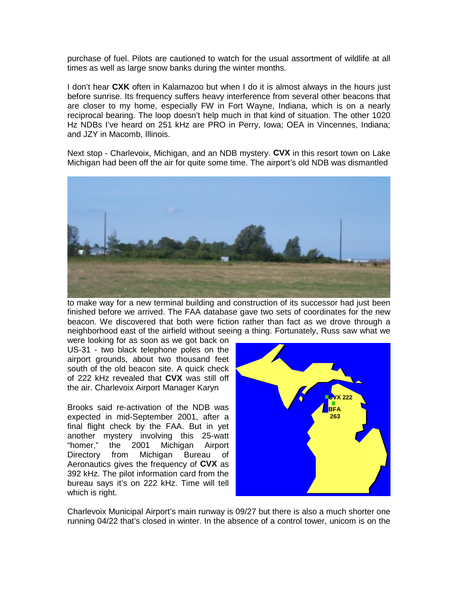purchase of fuel. Pilots are cautioned to watch for the usual assortment of wildlife at all times as well as large snow banks during the winter months.

I don't hear **CXK** often in Kalamazoo but when I do it is almost always in the hours just before sunrise. Its frequency suffers heavy interference from several other beacons that are closer to my home, especially FW in Fort Wayne, Indiana, which is on a nearly reciprocal bearing. The loop doesn't help much in that kind of situation. The other 1020 Hz NDBs I've heard on 251 kHz are PRO in Perry, Iowa; OEA in Vincennes, Indiana; and JZY in Macomb, Illinois.

Next stop - Charlevoix, Michigan, and an NDB mystery. **CVX** in this resort town on Lake Michigan had been off the air for quite some time. The airport's old NDB was dismantled



to make way for a new terminal building and construction of its successor had just been finished before we arrived. The FAA database gave two sets of coordinates for the new beacon. We discovered that both were fiction rather than fact as we drove through a neighborhood east of the airfield without seeing a thing. Fortunately, Russ saw what we

were looking for as soon as we got back on US-31 - two black telephone poles on the airport grounds, about two thousand feet south of the old beacon site. A quick check of 222 kHz revealed that **CVX** was still off the air. Charlevoix Airport Manager Karyn

Brooks said re-activation of the NDB was expected in mid-September 2001, after a final flight check by the FAA. But in yet another mystery involving this 25-watt "homer," the 2001 Michigan Airport Directory from Michigan Bureau of Aeronautics gives the frequency of **CVX** as 392 kHz. The pilot information card from the bureau says it's on 222 kHz. Time will tell which is right.



Charlevoix Municipal Airport's main runway is 09/27 but there is also a much shorter one running 04/22 that's closed in winter. In the absence of a control tower, unicom is on the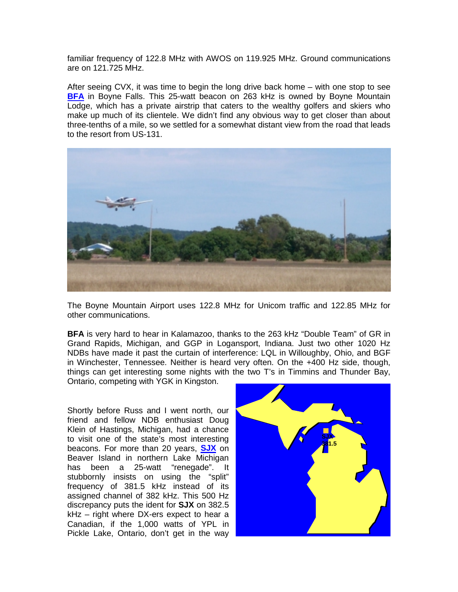familiar frequency of 122.8 MHz with AWOS on 119.925 MHz. Ground communications are on 121.725 MHz.

After seeing CVX, it was time to begin the long drive back home – with one stop to see **[BFA](http://www.alan.gale.clara.co.uk/ARarticle/BFA.mp3)** in Boyne Falls. This 25-watt beacon on 263 kHz is owned by Boyne Mountain Lodge, which has a private airstrip that caters to the wealthy golfers and skiers who make up much of its clientele. We didn't find any obvious way to get closer than about three-tenths of a mile, so we settled for a somewhat distant view from the road that leads to the resort from US-131.



The Boyne Mountain Airport uses 122.8 MHz for Unicom traffic and 122.85 MHz for other communications.

**BFA** is very hard to hear in Kalamazoo, thanks to the 263 kHz "Double Team" of GR in Grand Rapids, Michigan, and GGP in Logansport, Indiana. Just two other 1020 Hz NDBs have made it past the curtain of interference: LQL in Willoughby, Ohio, and BGF in Winchester, Tennessee. Neither is heard very often. On the +400 Hz side, though, things can get interesting some nights with the two T's in Timmins and Thunder Bay, Ontario, competing with YGK in Kingston.

Shortly before Russ and I went north, our friend and fellow NDB enthusiast Doug Klein of Hastings, Michigan, had a chance to visit one of the state's most interesting beacons. For more than 20 years, **[SJ](http://www.alan.gale.clara.co.uk/ARarticle/SJX.mp3)X** on Beaver Island in northern Lake Michigan has been a 25-watt "renegade". It stubbornly insists on using the "split" frequency of 381.5 kHz instead of its assigned channel of 382 kHz. This 500 Hz discrepancy puts the ident for **SJX** on 382.5 kHz – right where DX-ers expect to hear a Canadian, if the 1,000 watts of YPL in Pickle Lake, Ontario, don't get in the way

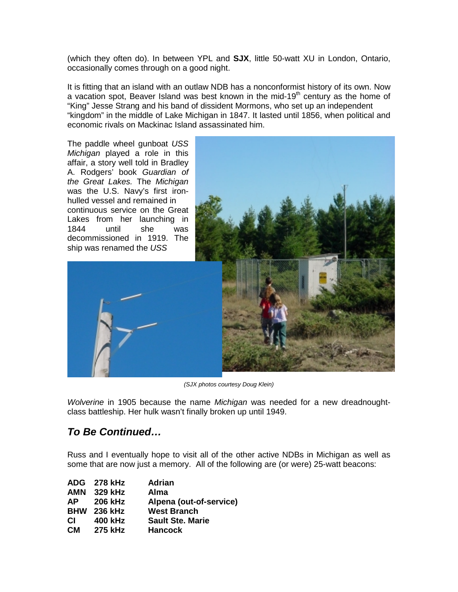(which they often do). In between YPL and **SJX**, little 50-watt XU in London, Ontario, occasionally comes through on a good night.

It is fitting that an island with an outlaw NDB has a nonconformist history of its own. Now a vacation spot, Beaver Island was best known in the mid-19<sup>th</sup> century as the home of "King" Jesse Strang and his band of dissident Mormons, who set up an independent "kingdom" in the middle of Lake Michigan in 1847. It lasted until 1856, when political and economic rivals on Mackinac Island assassinated him.



*(SJX photos courtesy Doug Klein)*

*Wolverine* in 1905 because the name *Michigan* was needed for a new dreadnoughtclass battleship. Her hulk wasn't finally broken up until 1949.

## *To Be Continued…*

Russ and I eventually hope to visit all of the other active NDBs in Michigan as well as some that are now just a memory. All of the following are (or were) 25-watt beacons:

|           | ADG 278 kHz        | <b>Adrian</b>           |
|-----------|--------------------|-------------------------|
|           | AMN 329 kHz        | <b>Alma</b>             |
| AP .      | <b>206 kHz</b>     | Alpena (out-of-service) |
|           | <b>BHW</b> 236 kHz | <b>West Branch</b>      |
| CI.       | 400 kHz            | <b>Sault Ste. Marie</b> |
| <b>CM</b> | 275 kHz            | <b>Hancock</b>          |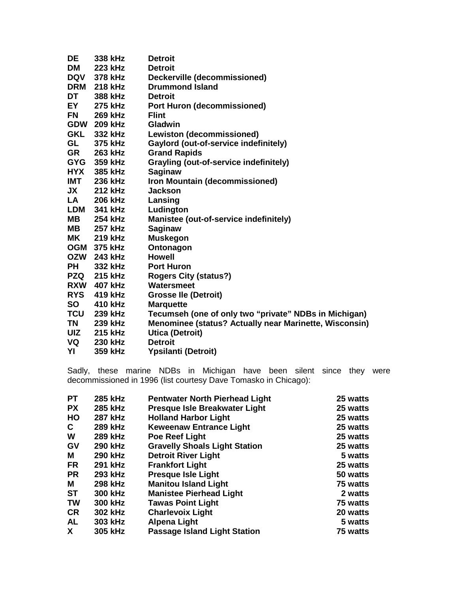| DE         | 338 kHz            | <b>Detroit</b>                                                |
|------------|--------------------|---------------------------------------------------------------|
| <b>DM</b>  | 223 kHz            | <b>Detroit</b>                                                |
| <b>DQV</b> | 378 kHz            | Deckerville (decommissioned)                                  |
|            | <b>DRM</b> 218 kHz | <b>Drummond Island</b>                                        |
| DT         | 388 kHz            | <b>Detroit</b>                                                |
| EY         | 275 kHz            | <b>Port Huron (decommissioned)</b>                            |
| <b>FN</b>  | 269 kHz            | <b>Flint</b>                                                  |
|            | GDW 209 kHz        | <b>Gladwin</b>                                                |
| GKL        | 332 kHz            | <b>Lewiston (decommissioned)</b>                              |
| GL         | 375 kHz            | Gaylord (out-of-service indefinitely)                         |
| <b>GR</b>  | 263 kHz            | <b>Grand Rapids</b>                                           |
|            | GYG 359 kHz        | <b>Grayling (out-of-service indefinitely)</b>                 |
| <b>HYX</b> | 385 kHz            | <b>Saginaw</b>                                                |
|            | <b>IMT</b> 236 kHz | Iron Mountain (decommissioned)                                |
| JX         | 212 kHz            | <b>Jackson</b>                                                |
| LA         | 206 kHz            | Lansing                                                       |
| <b>LDM</b> | 341 kHz            | Ludington                                                     |
| <b>MB</b>  | 254 kHz            | Manistee (out-of-service indefinitely)                        |
| MВ         | 257 kHz            | <b>Saginaw</b>                                                |
|            | <b>MK</b> 219 kHz  | <b>Muskegon</b>                                               |
|            | OGM 375 kHz        | Ontonagon                                                     |
|            | OZW 243 kHz        | <b>Howell</b>                                                 |
| <b>PH</b>  | 332 kHz            | <b>Port Huron</b>                                             |
|            | <b>PZQ</b> 215 kHz | <b>Rogers City (status?)</b>                                  |
|            | <b>RXW</b> 407 kHz | Watersmeet                                                    |
| <b>RYS</b> | 419 kHz            | <b>Grosse Ile (Detroit)</b>                                   |
| <b>SO</b>  | 410 kHz            | <b>Marquette</b>                                              |
| <b>TCU</b> | 239 kHz            | Tecumseh (one of only two "private" NDBs in Michigan)         |
| TN         | 239 kHz            | <b>Menominee (status? Actually near Marinette, Wisconsin)</b> |
| <b>UIZ</b> | 215 kHz            | <b>Utica (Detroit)</b>                                        |
| VQ         | <b>230 kHz</b>     | <b>Detroit</b>                                                |
| YI         | 359 kHz            | <b>Ypsilanti (Detroit)</b>                                    |

Sadly, these marine NDBs in Michigan have been silent since they were decommissioned in 1996 (list courtesy Dave Tomasko in Chicago):

| <b>PT</b> | 285 kHz        | <b>Pentwater North Pierhead Light</b> | 25 watts |
|-----------|----------------|---------------------------------------|----------|
| <b>PX</b> | 285 kHz        | Presque Isle Breakwater Light         | 25 watts |
| HO        | <b>287 kHz</b> | <b>Holland Harbor Light</b>           | 25 watts |
| C         | 289 kHz        | <b>Keweenaw Entrance Light</b>        | 25 watts |
| W         | <b>289 kHz</b> | Poe Reef Light                        | 25 watts |
| GV        | <b>290 kHz</b> | <b>Gravelly Shoals Light Station</b>  | 25 watts |
| м         | <b>290 kHz</b> | <b>Detroit River Light</b>            | 5 watts  |
| <b>FR</b> | 291 kHz        | <b>Frankfort Light</b>                | 25 watts |
| <b>PR</b> | 293 kHz        | <b>Presque Isle Light</b>             | 50 watts |
| М         | 298 kHz        | <b>Manitou Island Light</b>           | 75 watts |
| <b>ST</b> | 300 kHz        | <b>Manistee Pierhead Light</b>        | 2 watts  |
| <b>TW</b> | 300 kHz        | <b>Tawas Point Light</b>              | 75 watts |
| <b>CR</b> | 302 kHz        | <b>Charlevoix Light</b>               | 20 watts |
| <b>AL</b> | 303 kHz        | <b>Alpena Light</b>                   | 5 watts  |
| X.        | 305 kHz        | <b>Passage Island Light Station</b>   | 75 watts |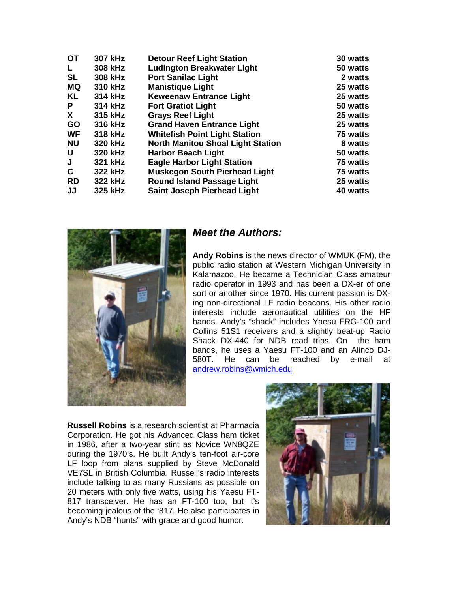| <b>307 kHz</b> | <b>Detour Reef Light Station</b>         | 30 watts |
|----------------|------------------------------------------|----------|
| 308 kHz        | <b>Ludington Breakwater Light</b>        | 50 watts |
| 308 kHz        | <b>Port Sanilac Light</b>                | 2 watts  |
| 310 kHz        | <b>Manistique Light</b>                  | 25 watts |
| 314 kHz        | <b>Keweenaw Entrance Light</b>           | 25 watts |
| 314 kHz        | <b>Fort Gratiot Light</b>                | 50 watts |
| 315 kHz        | <b>Grays Reef Light</b>                  | 25 watts |
| 316 kHz        | <b>Grand Haven Entrance Light</b>        | 25 watts |
| 318 kHz        | <b>Whitefish Point Light Station</b>     | 75 watts |
| 320 kHz        | <b>North Manitou Shoal Light Station</b> | 8 watts  |
| 320 kHz        | <b>Harbor Beach Light</b>                | 50 watts |
| 321 kHz        | <b>Eagle Harbor Light Station</b>        | 75 watts |
| 322 kHz        | <b>Muskegon South Pierhead Light</b>     | 75 watts |
| 322 kHz        | <b>Round Island Passage Light</b>        | 25 watts |
| 325 kHz        | <b>Saint Joseph Pierhead Light</b>       | 40 watts |
|                |                                          |          |



#### *Meet the Authors:*

**Andy Robins** is the news director of WMUK (FM), the public radio station at Western Michigan University in Kalamazoo. He became a Technician Class amateur radio operator in 1993 and has been a DX-er of one sort or another since 1970. His current passion is DXing non-directional LF radio beacons. His other radio interests include aeronautical utilities on the HF bands. Andy's "shack" includes Yaesu FRG-100 and Collins 51S1 receivers and a slightly beat-up Radio Shack DX-440 for NDB road trips. On the ham bands, he uses a Yaesu FT-100 and an Alinco DJ-<br>580T. He can be reached by e-mail at be reached by e-mail at [andrew.robins@wmich.edu](mailto:andrew.robins@wmich.edu)

**Russell Robins** is a research scientist at Pharmacia Corporation. He got his Advanced Class ham ticket in 1986, after a two-year stint as Novice WN8QZE during the 1970's. He built Andy's ten-foot air-core LF loop from plans supplied by Steve McDonald VE7SL in British Columbia. Russell's radio interests include talking to as many Russians as possible on 20 meters with only five watts, using his Yaesu FT-817 transceiver. He has an FT-100 too, but it's becoming jealous of the '817. He also participates in Andy's NDB "hunts" with grace and good humor.